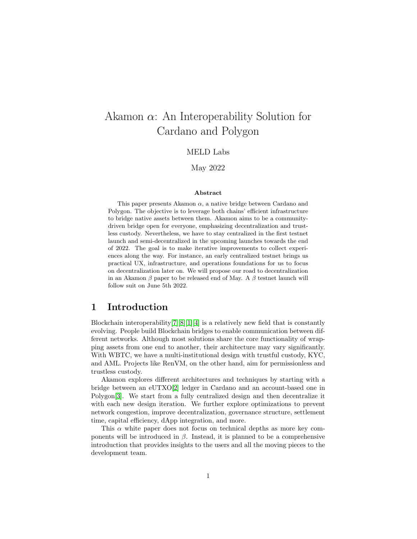# Akamon  $\alpha$ : An Interoperability Solution for Cardano and Polygon

### MELD Labs

May 2022

#### Abstract

This paper presents Akamon  $\alpha$ , a native bridge between Cardano and Polygon. The objective is to leverage both chains' efficient infrastructure to bridge native assets between them. Akamon aims to be a communitydriven bridge open for everyone, emphasizing decentralization and trustless custody. Nevertheless, we have to stay centralized in the first testnet launch and semi-decentralized in the upcoming launches towards the end of 2022. The goal is to make iterative improvements to collect experiences along the way. For instance, an early centralized testnet brings us practical UX, infrastructure, and operations foundations for us to focus on decentralization later on. We will propose our road to decentralization in an Akamon  $\beta$  paper to be released end of May. A  $\beta$  testnet launch will follow suit on June 5th 2022.

# 1 Introduction

Blockchain interoperability  $|7||8||1||4|$  is a relatively new field that is constantly evolving. People build Blockchain bridges to enable communication between different networks. Although most solutions share the core functionality of wrapping assets from one end to another, their architecture may vary significantly. With WBTC, we have a multi-institutional design with trustful custody, KYC, and AML. Projects like RenVM, on the other hand, aim for permissionless and trustless custody.

Akamon explores different architectures and techniques by starting with a bridge between an eUTXO[\[2\]](#page-7-4) ledger in Cardano and an account-based one in Polygon[\[3\]](#page-7-5). We start from a fully centralized design and then decentralize it with each new design iteration. We further explore optimizations to prevent network congestion, improve decentralization, governance structure, settlement time, capital efficiency, dApp integration, and more.

This  $\alpha$  white paper does not focus on technical depths as more key components will be introduced in  $\beta$ . Instead, it is planned to be a comprehensive introduction that provides insights to the users and all the moving pieces to the development team.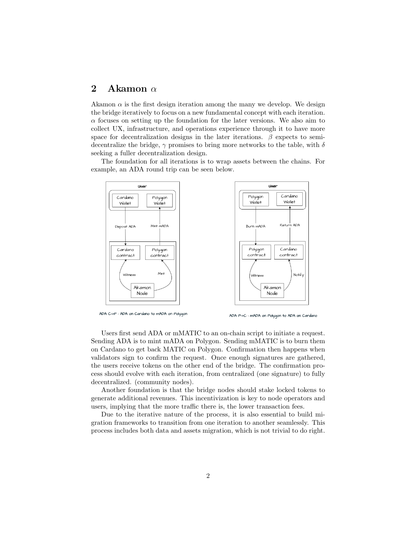# 2 Akamon  $\alpha$

Akamon  $\alpha$  is the first design iteration among the many we develop. We design the bridge iteratively to focus on a new fundamental concept with each iteration.  $\alpha$  focuses on setting up the foundation for the later versions. We also aim to collect UX, infrastructure, and operations experience through it to have more space for decentralization designs in the later iterations.  $\beta$  expects to semidecentralize the bridge,  $\gamma$  promises to bring more networks to the table, with  $\delta$ seeking a fuller decentralization design.

The foundation for all iterations is to wrap assets between the chains. For example, an ADA round trip can be seen below.



ADA C->P: ADA on Cardano to mADA on Polygon

ADA P->C : mADA on Polygon to ADA on Cardano

Users first send ADA or mMATIC to an on-chain script to initiate a request. Sending ADA is to mint mADA on Polygon. Sending mMATIC is to burn them on Cardano to get back MATIC on Polygon. Confirmation then happens when validators sign to confirm the request. Once enough signatures are gathered, the users receive tokens on the other end of the bridge. The confirmation process should evolve with each iteration, from centralized (one signature) to fully decentralized. (community nodes).

Another foundation is that the bridge nodes should stake locked tokens to generate additional revenues. This incentivization is key to node operators and users, implying that the more traffic there is, the lower transaction fees.

Due to the iterative nature of the process, it is also essential to build migration frameworks to transition from one iteration to another seamlessly. This process includes both data and assets migration, which is not trivial to do right.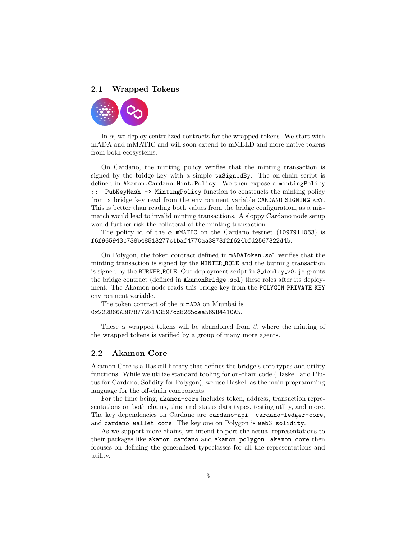#### 2.1 Wrapped Tokens



In  $\alpha$ , we deploy centralized contracts for the wrapped tokens. We start with mADA and mMATIC and will soon extend to mMELD and more native tokens from both ecosystems.

On Cardano, the minting policy verifies that the minting transaction is signed by the bridge key with a simple txSignedBy. The on-chain script is defined in Akamon.Cardano.Mint.Policy. We then expose a mintingPolicy :: PubKeyHash -> MintingPolicy function to constructs the minting policy from a bridge key read from the environment variable CARDANO\_SIGNING\_KEY. This is better than reading both values from the bridge configuration, as a mismatch would lead to invalid minting transactions. A sloppy Cardano node setup would further risk the collateral of the minting transaction.

The policy id of the  $\alpha$  mMATIC on the Cardano testnet (1097911063) is f6f965943c738b48513277c1baf4770aa3873f2f624bfd2567322d4b.

On Polygon, the token contract defined in mADAToken.sol verifies that the minting transaction is signed by the MINTER ROLE and the burning transaction is signed by the BURNER ROLE. Our deployment script in 3 deploy v0. js grants the bridge contract (defined in AkamonBridge.sol) these roles after its deployment. The Akamon node reads this bridge key from the POLYGON PRIVATE KEY environment variable.

The token contract of the  $\alpha$  mADA on Mumbai is 0x222D66A3878772F1A3597cd8265dea569B4410A5.

These  $\alpha$  wrapped tokens will be abandoned from  $\beta$ , where the minting of the wrapped tokens is verified by a group of many more agents.

#### 2.2 Akamon Core

Akamon Core is a Haskell library that defines the bridge's core types and utility functions. While we utilize standard tooling for on-chain code (Haskell and Plutus for Cardano, Solidity for Polygon), we use Haskell as the main programming language for the off-chain components.

For the time being, akamon-core includes token, address, transaction representations on both chains, time and status data types, testing utlity, and more. The key dependencies on Cardano are cardano-api, cardano-ledger-core, and cardano-wallet-core. The key one on Polygon is web3-solidity.

As we support more chains, we intend to port the actual representations to their packages like akamon-cardano and akamon-polygon. akamon-core then focuses on defining the generalized typeclasses for all the representations and utility.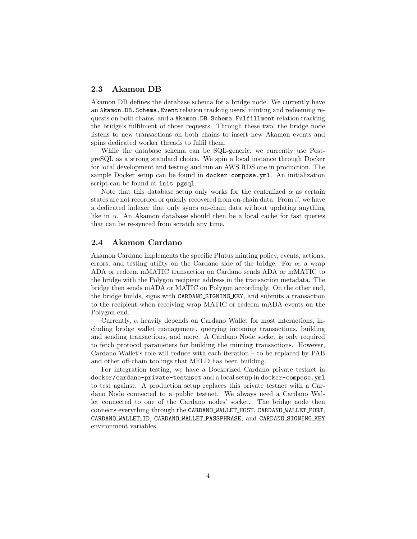### 2.3 Akamon DB

Akamon DB defines the database schema for a bridge node. We currently have an Akamon.DB.Schema.Event relation tracking users' minting and redeeming requests on both chains, and a Akamon.DB.Schema.Fulfillment relation tracking the bridge's fulfilment of those requests. Through these two, the bridge node listens to new transactions on both chains to insert new Akamon events and spins dedicated worker threads to fulfil them.

While the database schema can be SQL-generic, we currently use PostgreSQL as a strong standard choice. We spin a local instance through Docker for local development and testing and run an AWS RDS one in production. The sample Docker setup can be found in docker-compose.yml. An initialization script can be found at init.pgsql.

Note that this database setup only works for the centralized  $\alpha$  as certain states are not recorded or quickly recovered from on-chain data. From  $\beta$ , we have a dedicated indexer that only syncs on-chain data without updating anything like in  $\alpha$ . An Akamon database should then be a local cache for fast queries that can be re-synced from scratch any time.

#### 2.4 Akamon Cardano

Akamon Cardano implements the specific Plutus minting policy, events, actions, errors, and testing utility on the Cardano side of the bridge. For  $\alpha$ , a wrap ADA or redeem mMATIC transaction on Cardano sends ADA or mMATIC to the bridge with the Polygon recipient address in the transaction metadata. The bridge then sends mADA or MATIC on Polygon accordingly. On the other end, the bridge builds, signs with CARDANO SIGNING KEY, and submits a transaction to the recipient when receiving wrap MATIC or redeem mADA events on the Polygon end.

Currently,  $\alpha$  heavily depends on Cardano Wallet for most interactions, including bridge wallet management, querying incoming transactions, building and sending transactions, and more. A Cardano Node socket is only required to fetch protocol parameters for building the minting transactions. However, Cardano Wallet's role will reduce with each iteration – to be replaced by PAB and other off-chain toolings that MELD has been building.

For integration testing, we have a Dockerized Cardano private testnet in docker/cardano-private-testnset and a local setup in docker-compose.yml to test against. A production setup replaces this private testnet with a Cardano Node connected to a public testnet. We always need a Cardano Wallet connected to one of the Cardano nodes' socket. The bridge node then connects everything through the CARDANO WALLET HOST, CARDANO WALLET PORT, CARDANO\_WALLET\_ID, CARDANO\_WALLET\_PASSPHRASE, and CARDANO\_SIGNING\_KEY environment variables.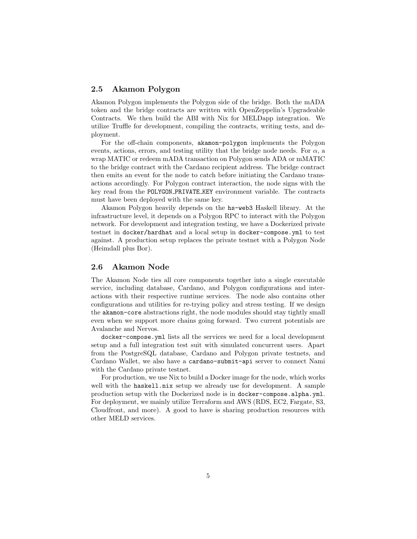#### 2.5 Akamon Polygon

Akamon Polygon implements the Polygon side of the bridge. Both the mADA token and the bridge contracts are written with OpenZeppelin's Upgradeable Contracts. We then build the ABI with Nix for MELDapp integration. We utilize Truffle for development, compiling the contracts, writing tests, and deployment.

For the off-chain components, akamon-polygon implements the Polygon events, actions, errors, and testing utility that the bridge node needs. For  $\alpha$ , a wrap MATIC or redeem mADA transaction on Polygon sends ADA or mMATIC to the bridge contract with the Cardano recipient address. The bridge contract then emits an event for the node to catch before initiating the Cardano transactions accordingly. For Polygon contract interaction, the node signs with the key read from the POLYGON PRIVATE KEY environment variable. The contracts must have been deployed with the same key.

Akamon Polygon heavily depends on the hs-web3 Haskell library. At the infrastructure level, it depends on a Polygon RPC to interact with the Polygon network. For development and integration testing, we have a Dockerized private testnet in docker/hardhat and a local setup in docker-compose.yml to test against. A production setup replaces the private testnet with a Polygon Node (Heimdall plus Bor).

#### 2.6 Akamon Node

The Akamon Node ties all core components together into a single executable service, including database, Cardano, and Polygon configurations and interactions with their respective runtime services. The node also contains other configurations and utilities for re-trying policy and stress testing. If we design the akamon-core abstractions right, the node modules should stay tightly small even when we support more chains going forward. Two current potentials are Avalanche and Nervos.

docker-compose.yml lists all the services we need for a local development setup and a full integration test suit with simulated concurrent users. Apart from the PostgreSQL database, Cardano and Polygon private testnets, and Cardano Wallet, we also have a cardano-submit-api server to connect Nami with the Cardano private testnet.

For production, we use Nix to build a Docker image for the node, which works well with the haskell.nix setup we already use for development. A sample production setup with the Dockerized node is in docker-compose.alpha.yml. For deployment, we mainly utilize Terraform and AWS (RDS, EC2, Fargate, S3, Cloudfront, and more). A good to have is sharing production resources with other MELD services.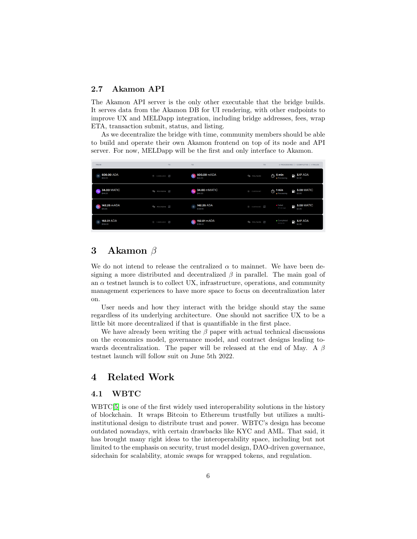### 2.7 Akamon API

The Akamon API server is the only other executable that the bridge builds. It serves data from the Akamon DB for UI rendering, with other endpoints to improve UX and MELDapp integration, including bridge addresses, fees, wrap ETA, transaction submit, status, and listing.

As we decentralize the bridge with time, community members should be able to build and operate their own Akamon frontend on top of its node and API server. For now, MELDapp will be the first and only interface to Akamon.

| <b>FROM</b>                             | <b>TX</b>        | TO                                  | <b>TX</b>            | 2 PROCESSING   1 COMPLETED   1 FAILED                         |
|-----------------------------------------|------------------|-------------------------------------|----------------------|---------------------------------------------------------------|
| 500.00 ADA<br>$\bullet$<br>\$55.00      | → CARDANO Z      | 500.00 mADA<br>$\bullet$<br>\$55,00 | CO POLYGON           | $P_0$ 3.17 ADA<br>$\circ$ 5 min<br>\$2.92<br>· Processing     |
| <b>34.00 MATIC</b><br>\$44.20           | O POLYGON Z      | <b>% 34.00 mMATIC</b><br>\$44.20    | CARDANO              | <b>B</b> 3.00 MATIC<br>1 min<br>ণ্ড<br>· Processing<br>\$3.90 |
| 142.25 mADA<br>ö<br>\$15.65             | Co POLYGON Z     | 142.25 ADA<br>$\infty$<br>\$129.45  | CARDANO <sup>Z</sup> | · Failed<br><b>B</b> 3.00 MATIC<br>30 min ago<br>\$3.90       |
| 152.01 ADA<br>$\frac{1}{2}$<br>\$138.33 | <b>X CARDANO</b> | 152.01 mADA<br>C of<br>\$138.33     | O POLYGON Z          | · Completed<br>$\rightarrow$ 3.17 ADA<br>01/05/22<br>\$2.88   |

# 3 Akamon β

We do not intend to release the centralized  $\alpha$  to mainnet. We have been designing a more distributed and decentralized  $\beta$  in parallel. The main goal of an  $\alpha$  testnet launch is to collect UX, infrastructure, operations, and community management experiences to have more space to focus on decentralization later on.

User needs and how they interact with the bridge should stay the same regardless of its underlying architecture. One should not sacrifice UX to be a little bit more decentralized if that is quantifiable in the first place.

We have already been writing the  $\beta$  paper with actual technical discussions on the economics model, governance model, and contract designs leading towards decentralization. The paper will be released at the end of May. A  $\beta$ testnet launch will follow suit on June 5th 2022.

# 4 Related Work

### 4.1 WBTC

WBTC[\[5\]](#page-7-6) is one of the first widely used interoperability solutions in the history of blockchain. It wraps Bitcoin to Ethereum trustfully but utilizes a multiinstitutional design to distribute trust and power. WBTC's design has become outdated nowadays, with certain drawbacks like KYC and AML. That said, it has brought many right ideas to the interoperability space, including but not limited to the emphasis on security, trust model design, DAO-driven governance, sidechain for scalability, atomic swaps for wrapped tokens, and regulation.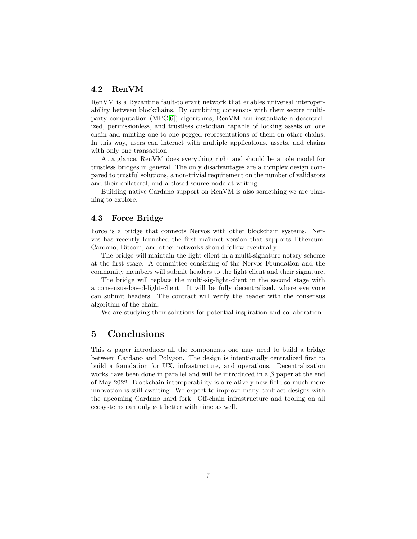### 4.2 RenVM

RenVM is a Byzantine fault-tolerant network that enables universal interoperability between blockchains. By combining consensus with their secure multiparty computation (MPC[\[6\]](#page-7-7)) algorithms, RenVM can instantiate a decentralized, permissionless, and trustless custodian capable of locking assets on one chain and minting one-to-one pegged representations of them on other chains. In this way, users can interact with multiple applications, assets, and chains with only one transaction.

At a glance, RenVM does everything right and should be a role model for trustless bridges in general. The only disadvantages are a complex design compared to trustful solutions, a non-trivial requirement on the number of validators and their collateral, and a closed-source node at writing.

Building native Cardano support on RenVM is also something we are planning to explore.

### 4.3 Force Bridge

Force is a bridge that connects Nervos with other blockchain systems. Nervos has recently launched the first mainnet version that supports Ethereum. Cardano, Bitcoin, and other networks should follow eventually.

The bridge will maintain the light client in a multi-signature notary scheme at the first stage. A committee consisting of the Nervos Foundation and the community members will submit headers to the light client and their signature.

The bridge will replace the multi-sig-light-client in the second stage with a consensus-based-light-client. It will be fully decentralized, where everyone can submit headers. The contract will verify the header with the consensus algorithm of the chain.

We are studying their solutions for potential inspiration and collaboration.

# 5 Conclusions

This  $\alpha$  paper introduces all the components one may need to build a bridge between Cardano and Polygon. The design is intentionally centralized first to build a foundation for UX, infrastructure, and operations. Decentralization works have been done in parallel and will be introduced in a  $\beta$  paper at the end of May 2022. Blockchain interoperability is a relatively new field so much more innovation is still awaiting. We expect to improve many contract designs with the upcoming Cardano hard fork. Off-chain infrastructure and tooling on all ecosystems can only get better with time as well.